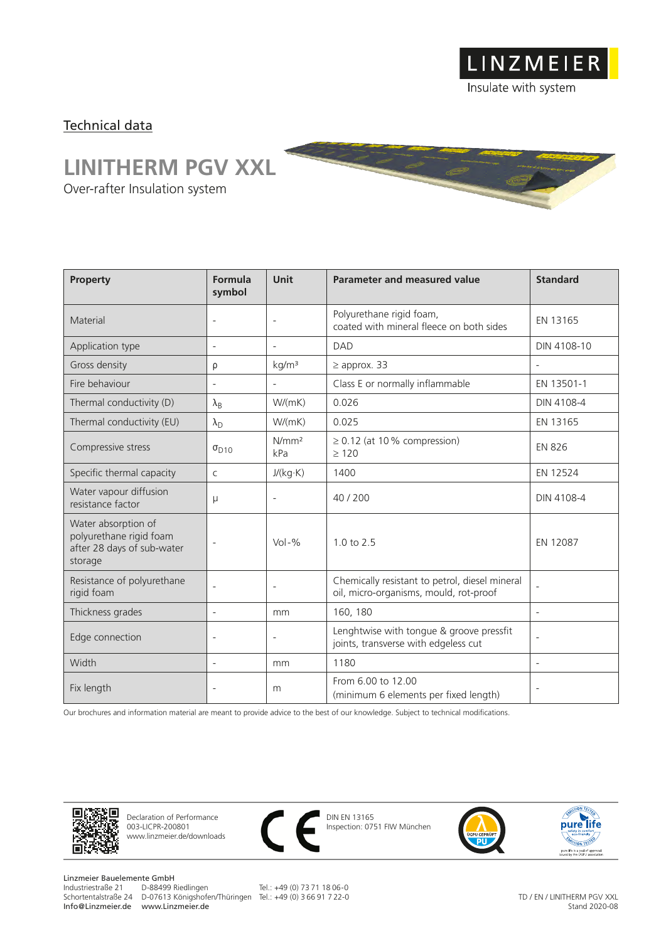LINZMEIER Insulate with system

## Technical data

## **LINITHERM PGV XXL**

Over-rafter Insulation system

| Property                                                                                | Formula<br>symbol        | <b>Unit</b>              | Parameter and measured value                                                             | <b>Standard</b>          |
|-----------------------------------------------------------------------------------------|--------------------------|--------------------------|------------------------------------------------------------------------------------------|--------------------------|
| Material                                                                                | $\overline{\phantom{a}}$ | $\overline{\phantom{a}}$ | Polyurethane rigid foam,<br>coated with mineral fleece on both sides                     | EN 13165                 |
| Application type                                                                        | $\overline{\phantom{a}}$ | $\overline{a}$           | <b>DAD</b>                                                                               | DIN 4108-10              |
| Gross density                                                                           | ρ                        | kg/m <sup>3</sup>        | $\geq$ approx. 33                                                                        |                          |
| Fire behaviour                                                                          |                          |                          | Class E or normally inflammable                                                          | EN 13501-1               |
| Thermal conductivity (D)                                                                | $\lambda_{\rm B}$        | W/(mK)                   | 0.026                                                                                    | DIN 4108-4               |
| Thermal conductivity (EU)                                                               | $\lambda_{\rm D}$        | W/(mK)                   | 0.025                                                                                    | EN 13165                 |
| Compressive stress                                                                      | $\sigma_{D10}$           | N/mm <sup>2</sup><br>kPa | $\geq$ 0.12 (at 10% compression)<br>$\geq 120$                                           | <b>EN 826</b>            |
| Specific thermal capacity                                                               | $\mathsf{C}$             | J/(kg·K)                 | 1400                                                                                     | EN 12524                 |
| Water vapour diffusion<br>resistance factor                                             | μ                        | $\overline{a}$           | 40/200                                                                                   | DIN 4108-4               |
| Water absorption of<br>polyurethane rigid foam<br>after 28 days of sub-water<br>storage | $\overline{\phantom{a}}$ | $Vol - %$                | $1.0 \text{ to } 2.5$                                                                    | EN 12087                 |
| Resistance of polyurethane<br>rigid foam                                                | $\overline{\phantom{a}}$ | $\overline{a}$           | Chemically resistant to petrol, diesel mineral<br>oil, micro-organisms, mould, rot-proof |                          |
| Thickness grades                                                                        | $\overline{\phantom{a}}$ | mm                       | 160, 180                                                                                 | $\overline{\phantom{a}}$ |
| Edge connection                                                                         | $\overline{\phantom{a}}$ | $\overline{\phantom{0}}$ | Lenghtwise with tongue & groove pressfit<br>joints, transverse with edgeless cut         | $\overline{\phantom{a}}$ |
| Width                                                                                   | $\overline{\phantom{a}}$ | mm                       | 1180                                                                                     | $\overline{\phantom{a}}$ |
| Fix length                                                                              | $\overline{\phantom{a}}$ | m                        | From 6.00 to 12.00<br>(minimum 6 elements per fixed length)                              | $\overline{\phantom{a}}$ |

Our brochures and information material are meant to provide advice to the best of our knowledge. Subject to technical modifications.



Declaration of Performance 003-LICPR-200801 www.linzmeier.de/downloads



DIN EN 13165 Inspection: 0751 FIW München





Linzmeier Bauelemente GmbH<br>Industriestraße 21 D-88499 Riedlingen Schortentalstraße 24 D-07613 Königshofen/Thüringen Tel.: +49 (0) 3 66 91 7 22-0 Info@Linzmeier.de www.Linzmeier.de

Tel.: +49 (0) 73 71 18 06-0

TD / EN / LINITHERM PGV XXL Stand 2020-08